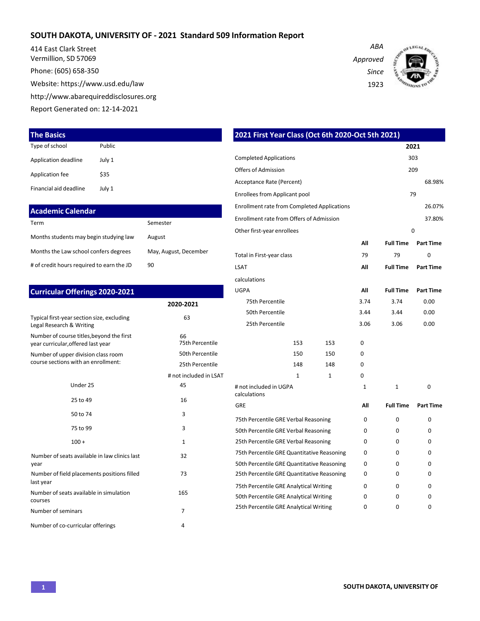### **SOUTH DAKOTA, UNIVERSITY OF - 2021 Standard 509 Information Report**

414 East Clark Street Vermillion, SD 57069

Phone: (605) 658-350

Website[: https://www.usd.edu/law](http://www.usd.edu/law)

[http://www.abarequireddisclosures.org](http://www.abarequireddisclosures.org/)

Report Generated on: 12-14-2021

| Type of school         | Public |
|------------------------|--------|
| Application deadline   | July 1 |
| Application fee        | \$35   |
| Financial aid deadline | July 1 |

| <b>Academic Calendar</b>                  |                       |
|-------------------------------------------|-----------------------|
| Term                                      | Semester              |
| Months students may begin studying law    | August                |
| Months the Law school confers degrees     | May, August, December |
| # of credit hours required to earn the JD | 90                    |

## Typical first-year section size, excluding Legal Research & Writing Number of course titles,beyond the first year curricular,offered last year Number of upper division class room course sections with an enrollment: **2020-2021** 63 66 75th Percentile 50th Percentile 25th Percentile # not included in LSAT Under 25 **45** # not included in UGPA last year Number of seats available in simulation courses 165 Number of seminars 7 **Curricular Offerings 2020-2021** 25 to 49 16 50 to 74 3 Number of seats available in law clinics last 32 Number of field placements positions filled 73 73

Number of co-curricular offerings 4

| <b>The Basics</b>                                                               |        |                                        | 2021 First Year Class (Oct 6th 2020-Oct 5th 2021)  |                      |     |              |                  |                  |
|---------------------------------------------------------------------------------|--------|----------------------------------------|----------------------------------------------------|----------------------|-----|--------------|------------------|------------------|
| Type of school                                                                  | Public |                                        |                                                    |                      |     |              |                  | 2021             |
| <b>Application deadline</b>                                                     | July 1 |                                        | <b>Completed Applications</b>                      |                      | 303 |              |                  |                  |
| <b>Application fee</b>                                                          | \$35   |                                        | <b>Offers of Admission</b>                         |                      |     |              |                  | 209              |
|                                                                                 |        |                                        | Acceptance Rate (Percent)                          |                      |     |              |                  | 68.98%           |
| Financial aid deadline                                                          | July 1 |                                        | Enrollees from Applicant pool                      |                      |     |              |                  | 79               |
| <b>Academic Calendar</b>                                                        |        |                                        | <b>Enrollment rate from Completed Applications</b> |                      |     |              |                  | 26.07%           |
| Term                                                                            |        | Semester                               | Enrollment rate from Offers of Admission           |                      |     |              |                  | 37.80%           |
|                                                                                 |        |                                        | Other first-year enrollees                         |                      |     |              |                  | $\mathbf 0$      |
| Months students may begin studying law                                          |        | August                                 |                                                    |                      |     | All          | <b>Full Time</b> | <b>Part Time</b> |
| Months the Law school confers degrees                                           |        | May, August, December                  | Total in First-year class                          |                      |     | 79           | 79               | 0                |
| # of credit hours required to earn the JD                                       |        | 90                                     | <b>LSAT</b>                                        |                      |     | All          | <b>Full Time</b> | <b>Part Time</b> |
|                                                                                 |        |                                        | calculations                                       |                      |     |              |                  |                  |
| <b>Curricular Offerings 2020-2021</b>                                           |        |                                        | <b>UGPA</b>                                        |                      |     | All          | <b>Full Time</b> | <b>Part Time</b> |
|                                                                                 |        | 2020-2021                              | 75th Percentile                                    |                      |     | 3.74         | 3.74             | 0.00             |
| Typical first-year section size, excluding                                      |        | 63                                     | 50th Percentile                                    |                      |     | 3.44         | 3.44             | 0.00             |
| Legal Research & Writing                                                        |        |                                        | 25th Percentile                                    |                      |     | 3.06         | 3.06             | 0.00             |
| Number of course titles, beyond the first<br>year curricular, offered last year |        | 66<br>75th Percentile                  |                                                    | 153                  | 153 | 0            |                  |                  |
| Number of upper division class room                                             |        | 50th Percentile                        |                                                    | 150                  | 150 | 0            |                  |                  |
| course sections with an enrollment:                                             |        | 25th Percentile                        |                                                    | 148                  | 148 | 0            |                  |                  |
|                                                                                 |        | # not included in LSAT                 |                                                    | 1                    | 1   | 0            |                  |                  |
| Under 25                                                                        |        | 45                                     | # not included in UGPA<br>calculations             |                      |     | $\mathbf{1}$ | $\mathbf{1}$     | 0                |
| 25 to 49                                                                        |        | 16                                     | GRE                                                |                      |     | All          | <b>Full Time</b> | <b>Part Time</b> |
| 50 to 74                                                                        |        | 3                                      | 75th Percentile GRE Verbal Reasoning               |                      |     | 0            | 0                | 0                |
| 75 to 99                                                                        |        | 3                                      | 50th Percentile GRE Verbal Reasoning               |                      |     | 0            | 0                | 0                |
| $100 +$                                                                         |        | 1                                      | 25th Percentile GRE Verbal Reasoning               |                      |     | 0            | 0                | 0                |
| Number of seats available in law clinics last                                   |        | 32                                     | 75th Percentile GRE Quantitative Reasoning         |                      |     | 0            | 0                | 0                |
| year                                                                            |        |                                        | 50th Percentile GRE Quantitative Reasoning         |                      |     | 0            | 0                | 0                |
| Number of field placements positions filled                                     |        | 73                                     | 25th Percentile GRE Quantitative Reasoning         |                      |     | 0            | 0                | 0                |
| last year                                                                       |        | 165                                    | 75th Percentile GRE Analytical Writing             |                      | 0   | 0            | 0                |                  |
| Number of seats available in simulation<br>courses                              |        | 50th Percentile GRE Analytical Writing |                                                    | $\Omega$<br>$\Omega$ | 0   | 0            |                  |                  |
| Number of seminars<br>$\overline{7}$                                            |        |                                        | 25th Percentile GRE Analytical Writing             | $\Omega$             | 0   |              |                  |                  |

*Approved Since*

1923

*ABA*

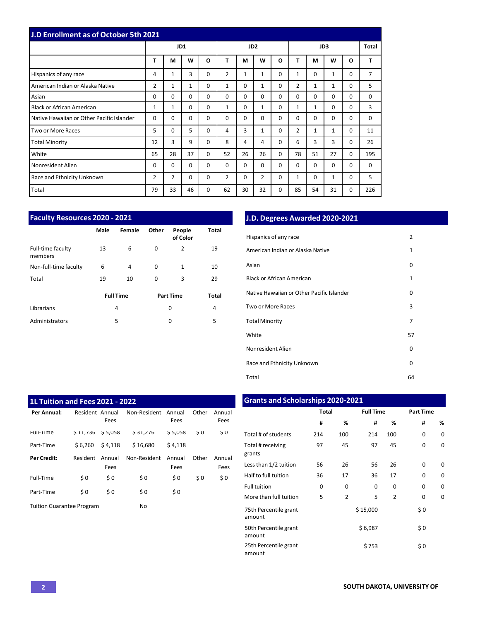| <b>J.D Enrollment as of October 5th 2021</b> |              |                |          |          |                |                 |              |          |                |              |          |   |                |
|----------------------------------------------|--------------|----------------|----------|----------|----------------|-----------------|--------------|----------|----------------|--------------|----------|---|----------------|
|                                              |              |                | JD1      |          |                | JD <sub>2</sub> |              |          |                | <b>Total</b> |          |   |                |
|                                              | т            | М              | W        | O        | T              | M               | W            | O        | т              | м            | W        | O | т              |
| Hispanics of any race                        | 4            | $\mathbf{1}$   | 3        | 0        | $\overline{2}$ | $\mathbf{1}$    | 1            | 0        | $\mathbf{1}$   | 0            | 1        | 0 | $\overline{7}$ |
| American Indian or Alaska Native             | 2            | 1              | 1        | 0        | 1              | $\Omega$        | $\mathbf{1}$ | 0        | $\overline{2}$ | $\mathbf{1}$ | 1        | 0 | 5              |
| Asian                                        | 0            | $\Omega$       | $\Omega$ | $\Omega$ | $\Omega$       | $\Omega$        | 0            | $\Omega$ | $\Omega$       | $\Omega$     | 0        | 0 | $\Omega$       |
| <b>Black or African American</b>             | $\mathbf{1}$ | $\mathbf{1}$   | 0        | 0        | $\mathbf{1}$   | 0               | $\mathbf{1}$ | 0        | $\mathbf{1}$   | $\mathbf{1}$ | $\Omega$ | 0 | 3              |
| Native Hawaiian or Other Pacific Islander    | 0            | 0              | 0        | 0        | 0              | $\Omega$        | 0            | 0        | 0              | 0            | 0        | 0 | 0              |
| <b>Two or More Races</b>                     | 5            | 0              | 5        | 0        | 4              | 3               | 1            | 0        | $\overline{2}$ | $\mathbf{1}$ | 1        | 0 | 11             |
| <b>Total Minority</b>                        | 12           | 3              | 9        | 0        | 8              | 4               | 4            | 0        | 6              | 3            | 3        | 0 | 26             |
| White                                        | 65           | 28             | 37       | 0        | 52             | 26              | 26           | $\Omega$ | 78             | 51           | 27       | 0 | 195            |
| Nonresident Alien                            | 0            | $\Omega$       | 0        | 0        | 0              | 0               | 0            | 0        | $\Omega$       | 0            | $\Omega$ | 0 | $\Omega$       |
| Race and Ethnicity Unknown                   | 2            | $\overline{2}$ | 0        | 0        | 2              | 0               | 2            | 0        | 1              | 0            | 1        | 0 | 5              |
| Total                                        | 79           | 33             | 46       | 0        | 62             | 30              | 32           | 0        | 85             | 54           | 31       | 0 | 226            |

| Faculty Resources 2020 - 2021 |      |                  | J.D. Degrees Awarded 2020-2021 |                    |              |                                           |  |  |
|-------------------------------|------|------------------|--------------------------------|--------------------|--------------|-------------------------------------------|--|--|
|                               | Male | Female           | Other                          | People<br>of Color | Total        | Hispanics of any race                     |  |  |
| Full-time faculty<br>members  | 13   | 6                | 0                              | $\mathbf{2}$       | 19           | American Indian or Alaska Native          |  |  |
| Non-full-time faculty         | 6    | 4                | 0                              | $\mathbf{1}$       | 10           | Asian                                     |  |  |
| Total                         | 19   | 10               | 0                              | 3                  | 29           | <b>Black or African American</b>          |  |  |
|                               |      | <b>Full Time</b> |                                | <b>Part Time</b>   | <b>Total</b> | Native Hawaiian or Other Pacific Islander |  |  |
| Librarians                    |      | 4                |                                | 0                  | 4            | Two or More Races                         |  |  |
| Administrators                |      | 5                |                                | 0                  | 5            | <b>Total Minority</b>                     |  |  |
|                               |      |                  |                                |                    |              |                                           |  |  |

### **Faculty Resources 2020 - 2021 J.D. Degrees Awarded 2020-2021**

| סופו | <b>Telligic</b>  | <b>VUIT</b> | r copic<br>of Color | וסיטו          | Hispanics of any race                     | $\overline{2}$ |
|------|------------------|-------------|---------------------|----------------|-------------------------------------------|----------------|
| 13   | 6                | 0           | $\overline{2}$      | 19             | American Indian or Alaska Native          | 1              |
| 6    | 4                | 0           | $\mathbf{1}$        | 10             | Asian                                     | 0              |
| 19   | 10               | 0           | 3                   | 29             | <b>Black or African American</b>          | $\mathbf{1}$   |
|      | <b>Full Time</b> |             | <b>Part Time</b>    | Total          | Native Hawaiian or Other Pacific Islander | 0              |
|      | 4                |             | 0                   | $\overline{4}$ | Two or More Races                         | 3              |
|      | 5                |             | 0                   | 5              | <b>Total Minority</b>                     | $\overline{7}$ |
|      |                  |             |                     |                | White                                     | 57             |
|      |                  |             |                     |                | Nonresident Alien                         | 0              |
|      |                  |             |                     |                | Race and Ethnicity Unknown                | 0              |
|      |                  |             |                     |                | Total                                     | 64             |

| 1L Tuition and Fees 2021 - 2022  |                 |          |              | <b>Grants and Scholarships 2020-2021</b> |       |               |                             |              |     |                  |     |                  |   |
|----------------------------------|-----------------|----------|--------------|------------------------------------------|-------|---------------|-----------------------------|--------------|-----|------------------|-----|------------------|---|
| Per Annual:                      | Resident Annual |          | Non-Resident | Annual                                   | Other | Annual        |                             | <b>Total</b> |     | <b>Full Time</b> |     | <b>Part Time</b> |   |
|                                  |                 | Fees     |              | Fees                                     |       | Fees          |                             | #            | %   | #                | %   | #                | % |
| Full-Time                        | 511/30          | \$ 5,058 | 531,270      | 85,U58                                   | 50    | $\frac{1}{2}$ | Total # of students         | 214          | 100 | 214              | 100 | 0                | 0 |
| Part-Time                        | \$6,260         | \$4,118  | \$16,680     | \$4,118                                  |       |               | Total # receiving           | 97           | 45  | 97               | 45  | 0                | 0 |
| <b>Per Credit:</b>               | Resident        | Annual   | Non-Resident | Annual                                   | Other | Annual        | grants                      |              |     |                  |     |                  |   |
|                                  |                 | Fees     |              | Fees                                     |       | Fees          | Less than 1/2 tuition       | 56           | 26  | 56               | 26  | 0                | 0 |
| Full-Time                        | \$0             | \$0      | \$0          | \$0                                      | \$0   | \$0           | Half to full tuition        | 36           | 17  | 36               | 17  | 0                | 0 |
|                                  |                 |          |              |                                          |       |               | Full tuition                | 0            | 0   | 0                | 0   | 0                | 0 |
| Part-Time                        | \$0             | \$0      | \$0          | \$0                                      |       |               | More than full tuition      | 5            | 2   | 5                | 2   | 0                | 0 |
| <b>Tuition Guarantee Program</b> |                 |          | <b>No</b>    |                                          |       |               | <b>TEAL BANAAMANA ANAMA</b> |              |     | 6.45.000         |     | $\sim$ $\sim$    |   |

#### **Total Full Time Part Time # % # % # %** Full-Time \$ 11,736 \$ 5,058 \$ 31,276 \$ 5,058 \$ 0 \$ 0 Total # ofstudents 214 100 214 100 0 0 Part-Time \$ 6,260 \$ 4,118 \$ 16,680 \$ 4,118 Total # receiving 97 45 97 45 0 0 Less than 1/2 tuition 56 26 56 26 0 0 Full tuition More than full tuition 0 5 0 2 0 5 0 2 0 0 0 0 **1L Tuition and Fees 2021 - 2022 Grants and Scholarships 2020-2021** 75th Percentile grant amount  $$15,000$  \$0 50th Percentile grant amount  $$6,987$  \$ 0 25th Percentile grant amount  $$753$  \$0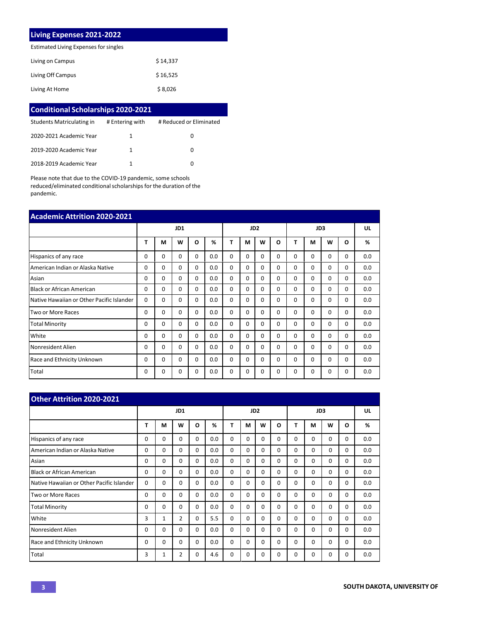# **Living Expenses 2021-2022**

Estimated Living Expenses for singles

| Living on Campus  | \$14,337 |
|-------------------|----------|
| Living Off Campus | \$16,525 |
| Living At Home    | \$8,026  |

| <b>Conditional Scholarships 2020-2021</b> |                 |                         |
|-------------------------------------------|-----------------|-------------------------|
| Students Matriculating in                 | # Entering with | # Reduced or Eliminated |
| 2020-2021 Academic Year                   | 1               | O                       |
| 2019-2020 Academic Year                   | 1               | O                       |
| 2018-2019 Academic Year                   |                 | O                       |

Please note that due to the COVID-19 pandemic, some schools reduced/eliminated conditional scholarships for the duration of the pandemic.

| <b>Academic Attrition 2020-2021</b>       |          |          |          |          |     |          |                 |          |   |          |          |   |          |     |
|-------------------------------------------|----------|----------|----------|----------|-----|----------|-----------------|----------|---|----------|----------|---|----------|-----|
|                                           |          |          | JD1      |          |     |          | JD <sub>2</sub> |          |   |          | UL       |   |          |     |
|                                           | T        | М        | W        | O        | %   | т        | М               | W        | O | т        | M        | W | $\Omega$ | %   |
| Hispanics of any race                     | 0        | 0        | $\Omega$ | $\Omega$ | 0.0 | $\Omega$ | 0               | $\Omega$ | 0 | $\Omega$ | $\Omega$ | 0 | 0        | 0.0 |
| American Indian or Alaska Native          | $\Omega$ | $\Omega$ | $\Omega$ | $\Omega$ | 0.0 | $\Omega$ | 0               | $\Omega$ | 0 | $\Omega$ | $\Omega$ | 0 | 0        | 0.0 |
| Asian                                     | $\Omega$ | $\Omega$ | $\Omega$ | $\Omega$ | 0.0 | $\Omega$ | 0               | $\Omega$ | 0 | $\Omega$ | $\Omega$ | 0 | 0        | 0.0 |
| <b>Black or African American</b>          | 0        | 0        | $\Omega$ | 0        | 0.0 | 0        | 0               | $\Omega$ | 0 | $\Omega$ | 0        | 0 | 0        | 0.0 |
| Native Hawaiian or Other Pacific Islander | $\Omega$ | 0        | $\Omega$ | $\Omega$ | 0.0 | $\Omega$ | 0               | $\Omega$ | 0 | $\Omega$ | 0        | 0 | 0        | 0.0 |
| <b>Two or More Races</b>                  | 0        | 0        | $\Omega$ | $\Omega$ | 0.0 | $\Omega$ | 0               | $\Omega$ | 0 | $\Omega$ | 0        | 0 | 0        | 0.0 |
| <b>Total Minority</b>                     | 0        | 0        | $\Omega$ | $\Omega$ | 0.0 | 0        | 0               | $\Omega$ | 0 | $\Omega$ | $\Omega$ | 0 | 0        | 0.0 |
| White                                     | 0        | $\Omega$ | 0        | $\Omega$ | 0.0 | 0        | 0               | $\Omega$ | 0 | $\Omega$ | 0        | 0 | 0        | 0.0 |
| Nonresident Alien                         | 0        | 0        | 0        | $\Omega$ | 0.0 | 0        | 0               | $\Omega$ | 0 | $\Omega$ | 0        | 0 | 0        | 0.0 |
| Race and Ethnicity Unknown                | 0        | 0        | $\Omega$ | $\Omega$ | 0.0 | $\Omega$ | 0               | 0        | 0 | $\Omega$ | $\Omega$ | 0 | 0        | 0.0 |
| Total                                     | 0        | 0        | 0        | 0        | 0.0 | 0        | 0               | $\Omega$ | 0 | 0        | 0        | 0 | 0        | 0.0 |

| <b>Other Attrition 2020-2021</b>          |   |          |                |          |     |          |          |                 |          |          |          |          |              |     |
|-------------------------------------------|---|----------|----------------|----------|-----|----------|----------|-----------------|----------|----------|----------|----------|--------------|-----|
|                                           |   |          | JD1            |          |     |          |          | JD <sub>2</sub> |          |          | UL       |          |              |     |
|                                           | T | М        | W              | O        | %   | T        | M        | W               | O        | т        | M        | W        | $\mathbf{o}$ | %   |
| Hispanics of any race                     | 0 | 0        | 0              | $\Omega$ | 0.0 | $\Omega$ | 0        | $\Omega$        | $\Omega$ | $\Omega$ | $\Omega$ | 0        | 0            | 0.0 |
| American Indian or Alaska Native          | 0 | $\Omega$ | 0              | $\Omega$ | 0.0 | $\Omega$ | $\Omega$ | 0               | 0        | $\Omega$ | $\Omega$ | $\Omega$ | 0            | 0.0 |
| Asian                                     | 0 | 0        | 0              | 0        | 0.0 | $\Omega$ | $\Omega$ | $\Omega$        | 0        | 0        | $\Omega$ | 0        | 0            | 0.0 |
| Black or African American                 | 0 | 0        | 0              | 0        | 0.0 | $\Omega$ | $\Omega$ | 0               | 0        | 0        | 0        | 0        | 0            | 0.0 |
| Native Hawaiian or Other Pacific Islander | 0 | 0        | 0              | 0        | 0.0 | $\Omega$ | 0        | 0               | 0        | 0        | $\Omega$ | 0        | $\Omega$     | 0.0 |
| Two or More Races                         | 0 | 0        | 0              | 0        | 0.0 | 0        | 0        | 0               | 0        | 0        | $\Omega$ | 0        | 0            | 0.0 |
| <b>Total Minority</b>                     | 0 | 0        | 0              | $\Omega$ | 0.0 | $\Omega$ | 0        | 0               | $\Omega$ | 0        | $\Omega$ | $\Omega$ | 0            | 0.0 |
| White                                     | 3 | 1        | 2              | 0        | 5.5 | $\Omega$ | $\Omega$ | $\Omega$        | 0        | 0        | $\Omega$ | $\Omega$ | 0            | 0.0 |
| Nonresident Alien                         | 0 | 0        | 0              | 0        | 0.0 | $\Omega$ | 0        | 0               | 0        | 0        | $\Omega$ | 0        | 0            | 0.0 |
| Race and Ethnicity Unknown                | 0 | 0        | 0              | 0        | 0.0 | $\Omega$ | 0        | 0               | 0        | 0        | $\Omega$ | $\Omega$ | $\Omega$     | 0.0 |
| Total                                     | 3 | 1        | $\overline{2}$ | 0        | 4.6 | $\Omega$ | 0        | 0               | 0        | 0        | 0        | 0        | 0            | 0.0 |